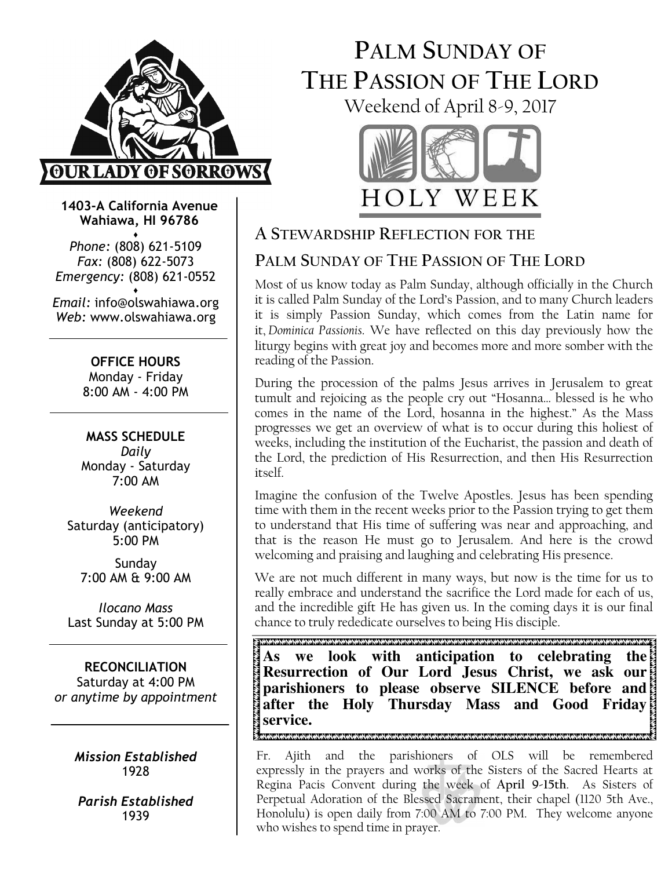

1403-A California Avenue Wahiawa, HI 96786 ♦

Phone: (808) 621-5109 Fax: (808) 622-5073 Emergency: (808) 621-0552 ♦

Email: info@olswahiawa.org Web: www.olswahiawa.org

> OFFICE HOURS Monday - Friday 8:00 AM - 4:00 PM

MASS SCHEDULE Daily Monday - Saturday 7:00 AM

Weekend Saturday (anticipatory) 5:00 PM

Sunday 7:00 AM & 9:00 AM

Ilocano Mass Last Sunday at 5:00 PM

RECONCILIATION Saturday at 4:00 PM or anytime by appointment

> Mission Established 1928

Parish Established 1939

# PALM SUNDAY OF THE PASSION OF THE LORD Weekend of April 8-9, 2017



## A STEWARDSHIP REFLECTION FOR THE

## PALM SUNDAY OF THE PASSION OF THE LORD

Most of us know today as Palm Sunday, although officially in the Church it is called Palm Sunday of the Lord's Passion, and to many Church leaders it is simply Passion Sunday, which comes from the Latin name for it, Dominica Passionis. We have reflected on this day previously how the liturgy begins with great joy and becomes more and more somber with the reading of the Passion.

During the procession of the palms Jesus arrives in Jerusalem to great tumult and rejoicing as the people cry out "Hosanna… blessed is he who comes in the name of the Lord, hosanna in the highest." As the Mass progresses we get an overview of what is to occur during this holiest of weeks, including the institution of the Eucharist, the passion and death of the Lord, the prediction of His Resurrection, and then His Resurrection itself.

Imagine the confusion of the Twelve Apostles. Jesus has been spending time with them in the recent weeks prior to the Passion trying to get them to understand that His time of suffering was near and approaching, and that is the reason He must go to Jerusalem. And here is the crowd welcoming and praising and laughing and celebrating His presence.

We are not much different in many ways, but now is the time for us to really embrace and understand the sacrifice the Lord made for each of us, and the incredible gift He has given us. In the coming days it is our final chance to truly rededicate ourselves to being His disciple.

E TRADUCTION AND NATURAL CONTRACTOR CONTRACTOR CONTRACTOR CONTRACTOR CONTRACTOR CONTRACTOR CONTRACTOR CONTRACTO **As we look with anticipation to celebrating the Resurrection of Our Lord Jesus Christ, we ask our parishioners to please observe SILENCE before and after the Holy Thursday Mass and Good Friday service.**  

Fr. Ajith and the parishioners of OLS will be remembered expressly in the prayers and works of the Sisters of the Sacred Hearts at Regina Pacis Convent during the week of April 9-15th. As Sisters of Perpetual Adoration of the Blessed Sacrament, their chapel (1120 5th Ave., Honolulu) is open daily from 7:00 AM to 7:00 PM. They welcome anyone who wishes to spend time in prayer.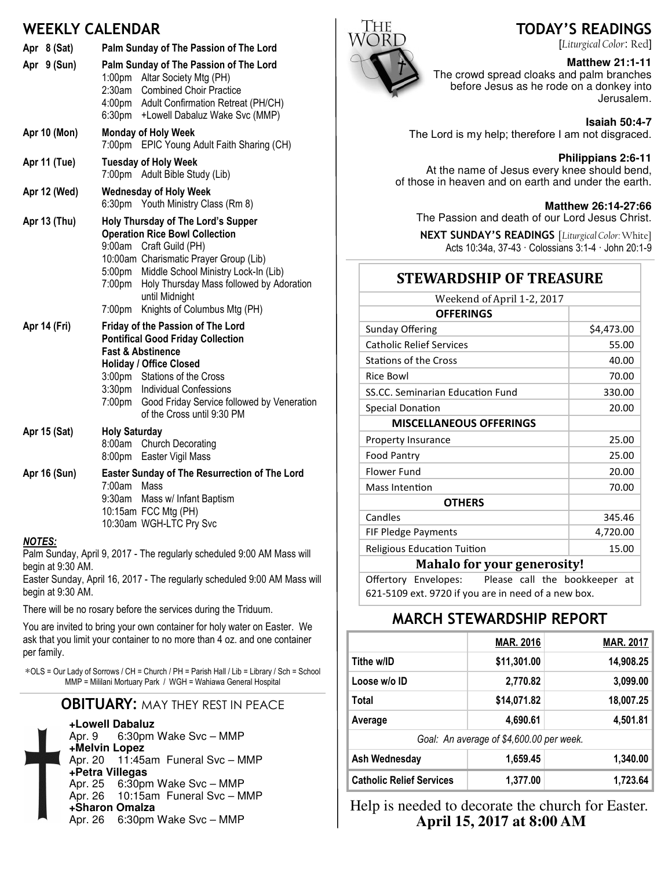### WEEKLY CALENDAR

| Apr 8 (Sat)<br>Apr 9 (Sun) | Palm Sunday of The Passion of The Lord<br>Palm Sunday of The Passion of The Lord<br>1:00pm Altar Society Mtg (PH)<br>2:30am Combined Choir Practice<br>4:00pm Adult Confirmation Retreat (PH/CH)<br>6:30pm +Lowell Dabaluz Wake Svc (MMP)                                                                          |
|----------------------------|--------------------------------------------------------------------------------------------------------------------------------------------------------------------------------------------------------------------------------------------------------------------------------------------------------------------|
| <b>Apr 10 (Mon)</b>        | <b>Monday of Holy Week</b><br>EPIC Young Adult Faith Sharing (CH)<br>7:00pm                                                                                                                                                                                                                                        |
| Apr 11 (Tue)               | <b>Tuesday of Holy Week</b><br>7:00pm<br>Adult Bible Study (Lib)                                                                                                                                                                                                                                                   |
| Apr 12 (Wed)               | <b>Wednesday of Holy Week</b><br>Youth Ministry Class (Rm 8)<br>6:30pm                                                                                                                                                                                                                                             |
| Apr 13 (Thu)               | Holy Thursday of The Lord's Supper<br><b>Operation Rice Bowl Collection</b><br>9:00am Craft Guild (PH)<br>10:00am Charismatic Prayer Group (Lib)<br>5:00pm Middle School Ministry Lock-In (Lib)<br>Holy Thursday Mass followed by Adoration<br>7:00pm<br>until Midnight<br>Knights of Columbus Mtg (PH)<br>7:00pm  |
| Apr 14 (Fri)               | Friday of the Passion of The Lord<br><b>Pontifical Good Friday Collection</b><br><b>Fast &amp; Abstinence</b><br><b>Holiday / Office Closed</b><br>3:00pm Stations of the Cross<br>3:30pm Individual Confessions<br>7:00 <sub>pm</sub><br>Good Friday Service followed by Veneration<br>of the Cross until 9:30 PM |
| Apr 15 (Sat)               | <b>Holy Saturday</b><br>8:00am Church Decorating<br>8:00pm<br>Easter Vigil Mass                                                                                                                                                                                                                                    |
| Apr 16 (Sun)               | Easter Sunday of The Resurrection of The Lord<br>7:00am Mass<br>9:30am<br>Mass w/ Infant Baptism<br>10:15am FCC Mtg (PH)<br>10:30am WGH-LTC Pry Svc                                                                                                                                                                |
| <b>NOTES:</b>              |                                                                                                                                                                                                                                                                                                                    |

Palm Sunday, April 9, 2017 - The regularly scheduled 9:00 AM Mass will begin at 9:30 AM.

Easter Sunday, April 16, 2017 - The regularly scheduled 9:00 AM Mass will begin at 9:30 AM.

There will be no rosary before the services during the Triduum.

You are invited to bring your own container for holy water on Easter. We ask that you limit your container to no more than 4 oz. and one container per family.

∗OLS = Our Lady of Sorrows / CH = Church / PH = Parish Hall / Lib = Library / Sch = School MMP = Mililani Mortuary Park / WGH = Wahiawa General Hospital

#### **OBITUARY: MAY THEY REST IN PEACE**



**+Lowell Dabaluz** 6:30pm Wake Svc – MMP **+Melvin Lopez** Apr. 20 11:45am Funeral Svc – MMP **+Petra Villegas** Apr. 25 6:30pm Wake Svc – MMP Apr. 26 10:15am Funeral Svc – MMP **+Sharon Omalza** Apr. 26 6:30pm Wake Svc – MMP



### TODAY'S READINGS

[Liturgical Color: Red]

#### **Matthew 21:1-11**

The crowd spread cloaks and palm branches before Jesus as he rode on a donkey into Jerusalem.

The Lord is my help; therefore I am not disgraced.

#### **Philippians 2:6-11**

At the name of Jesus every knee should bend, of those in heaven and on earth and under the earth.

#### **Matthew 26:14-27:66**

The Passion and death of our Lord Jesus Christ.

NEXT SUNDAY'S READINGS [Liturgical Color: White] Acts 10:34a, 37-43 · Colossians 3:1-4 · John 20:1-9

### **STEWARDSHIP OF TREASURE**

| Weekend of April 1-2, 2017         |            |  |  |
|------------------------------------|------------|--|--|
| <b>OFFERINGS</b>                   |            |  |  |
| Sunday Offering                    | \$4,473.00 |  |  |
| <b>Catholic Relief Services</b>    | 55.00      |  |  |
| <b>Stations of the Cross</b>       | 40.00      |  |  |
| Rice Bowl                          | 70.00      |  |  |
| SS.CC. Seminarian Education Fund   | 330.00     |  |  |
| Special Donation                   | 20.00      |  |  |
| <b>MISCELLANEOUS OFFERINGS</b>     |            |  |  |
| <b>Property Insurance</b>          | 25.00      |  |  |
| <b>Food Pantry</b>                 | 25.00      |  |  |
| Flower Fund                        | 20.00      |  |  |
| Mass Intention                     | 70.00      |  |  |
| <b>OTHERS</b>                      |            |  |  |
| Candles                            | 345.46     |  |  |
| FIF Pledge Payments                | 4,720.00   |  |  |
| <b>Religious Education Tuition</b> | 15.00      |  |  |
| <b>Mahalo for your generosity!</b> |            |  |  |

Offertory Envelopes: Please call the bookkeeper at 621-5109 ext. 9720 if you are in need of a new box.

### MARCH STEWARDSHIP REPORT

|                                          | <b>MAR. 2016</b> | <b>MAR. 2017</b> |  |  |
|------------------------------------------|------------------|------------------|--|--|
| Tithe w/ID                               | \$11,301.00      | 14,908.25        |  |  |
| Loose w/o ID                             | 2,770.82         | 3,099.00         |  |  |
| Total                                    | \$14,071.82      | 18,007.25        |  |  |
| Average                                  | 4,690.61         | 4,501.81         |  |  |
| Goal: An average of \$4,600.00 per week. |                  |                  |  |  |
| Ash Wednesday                            | 1,659.45         | 1,340.00         |  |  |
| <b>Catholic Relief Services</b>          | 1,377.00         | 1.723.64         |  |  |

Help is needed to decorate the church for Easter. **April 15, 2017 at 8:00 AM**